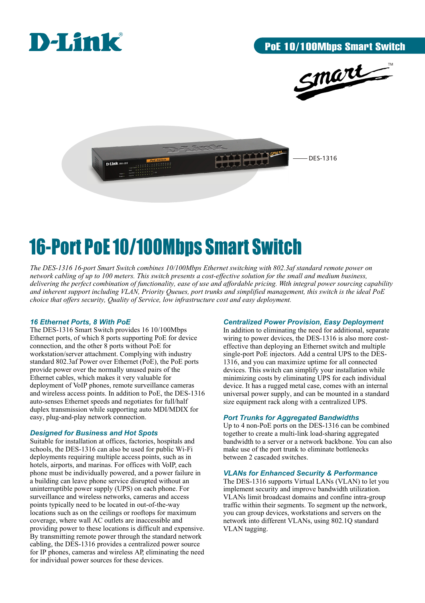





# 16-Port PoE 10/100Mbps Smart Switch

*The DES-1316 16-port Smart Switch combines 10/100Mbps Ethernet switching with 802.3af standard remote power on network cabling of up to 100 meters. This switch presents a cost-effective solution for the small and medium business, delivering the perfect combination of functionality, ease of use and affordable pricing. With integral power sourcing capability and inherent support including VLAN, Priority Queues, port trunks and simplified management, this switch is the ideal PoE choice that offers security, Quality of Service, low infrastructure cost and easy deployment.*

#### *16 Ethernet Ports, 8 With PoE*

The DES-1316 Smart Switch provides 16 10/100Mbps Ethernet ports, of which 8 ports supporting PoE for device connection, and the other 8 ports without PoE for workstation/server attachment. Complying with industry standard 802.3af Power over Ethernet (PoE), the PoE ports provide power over the normally unused pairs of the Ethernet cables, which makes it very valuable for deployment of VoIP phones, remote surveillance cameras and wireless access points. In addition to PoE, the DES-1316 auto-senses Ethernet speeds and negotiates for full/half duplex transmission while supporting auto MDI/MDIX for easy, plug-and-play network connection.

#### *Designed for Business and Hot Spots*

Suitable for installation at offices, factories, hospitals and schools, the DES-1316 can also be used for public Wi-Fi deployments requiring multiple access points, such as in hotels, airports, and marinas. For offices with VoIP, each phone must be individually powered, and a power failure in a building can leave phone service disrupted without an uninterruptible power supply (UPS) on each phone. For surveillance and wireless networks, cameras and access points typically need to be located in out-of-the-way locations such as on the ceilings or rooftops for maximum coverage, where wall AC outlets are inaccessible and providing power to these locations is difficult and expensive. By transmitting remote power through the standard network cabling, the DES-1316 provides a centralized power source for IP phones, cameras and wireless AP, eliminating the need for individual power sources for these devices.

#### *Centralized Power Provision, Easy Deployment*

In addition to eliminating the need for additional, separate wiring to power devices, the DES-1316 is also more costeffective than deploying an Ethernet switch and multiple single-port PoE injectors. Add a central UPS to the DES-1316, and you can maximize uptime for all connected devices. This switch can simplify your installation while minimizing costs by eliminating UPS for each individual device. It has a rugged metal case, comes with an internal universal power supply, and can be mounted in a standard size equipment rack along with a centralized UPS.

#### *Port Trunks for Aggregated Bandwidths*

Up to 4 non-PoE ports on the DES-1316 can be combined together to create a multi-link load-sharing aggregated bandwidth to a server or a network backbone. You can also make use of the port trunk to eliminate bottlenecks between 2 cascaded switches.

#### *VLANs for Enhanced Security & Performance*

The DES-1316 supports Virtual LANs (VLAN) to let you implement security and improve bandwidth utilization. VLANs limit broadcast domains and confine intra-group traffic within their segments. To segment up the network, you can group devices, workstations and servers on the network into different VLANs, using 802.1Q standard VLAN tagging.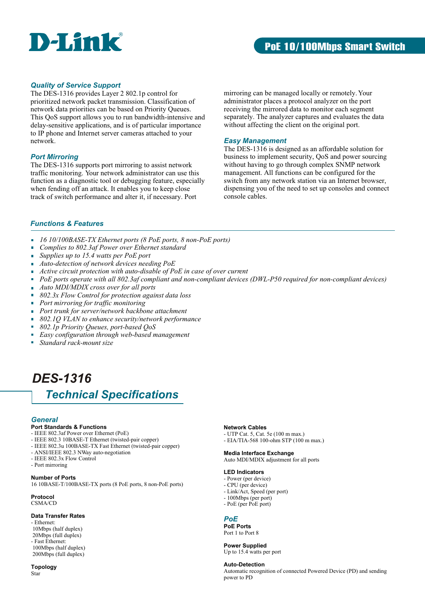

#### *Quality of Service Support*

The DES-1316 provides Layer 2 802.1p control for prioritized network packet transmission. Classification of network data priorities can be based on Priority Queues. This QoS support allows you to run bandwidth-intensive and delay-sensitive applications, and is of particular importance to IP phone and Internet server cameras attached to your network.

#### *Port Mirroring*

The DES-1316 supports port mirroring to assist network traffic monitoring. Your network administrator can use this function as a diagnostic tool or debugging feature, especially when fending off an attack. It enables you to keep close track of switch performance and alter it, if necessary. Port

mirroring can be managed locally or remotely. Your administrator places a protocol analyzer on the port receiving the mirrored data to monitor each segment separately. The analyzer captures and evaluates the data without affecting the client on the original port.

#### *Easy Management*

The DES-1316 is designed as an affordable solution for business to implement security, QoS and power sourcing without having to go through complex SNMP network management. All functions can be configured for the switch from any network station via an Internet browser, dispensing you of the need to set up consoles and connect console cables.

#### *Functions & Features*

- *16 10/100BASE-TX Ethernet ports (8 PoE ports, 8 non-PoE ports)*  $\overline{\phantom{a}}$
- *Complies to 802.3af Power over Ethernet standard* 'n
- *Supplies up to 15.4 watts per PoE port* 'n
- *Auto-detection of network devices needing PoE*  $\overline{\phantom{a}}$
- *Active circuit protection with auto-disable of PoE in case of over current*
- *PoE ports operate with all 802.3af compliant and non-compliant devices (DWL-P50 required for non-compliant devices)*
- $\blacksquare$ *Auto MDI/MDIX cross over for all ports*
- *802.3x Flow Control for protection against data loss*
- *Port mirroring for traffic monitoring*
- m. *Port trunk for server/network backbone attachment*
- $\mathbf{r}$ *802.1Q VLAN to enhance security/network performance*
- $\mathbf{r}$ *802.1p Priority Queues, port-based QoS*
- $\mathcal{L}_{\mathcal{A}}$ *Easy configuration through web-based management*
- Ĥ. *Standard rack-mount size*

### *DES-1316*

### *Technical Specifications*

#### *General*

#### **Port Standards & Functions**

- IEEE 802.3af Power over Ethernet (PoE)
- IEEE 802.3 10BASE-T Ethernet (twisted-pair copper)
- IEEE 802.3u 100BASE-TX Fast Ethernet (twisted-pair copper)
- ANSI/IEEE 802.3 NWay auto-negotiation
- IEEE 802.3x Flow Control
- Port mirroring

#### **Number of Ports**

16 10BASE-T/100BASE-TX ports (8 PoE ports, 8 non-PoE ports)

**Protocol** CSMA/CD

#### **Data Transfer Rates**

- Ethernet: 10Mbps (half duplex) 20Mbps (full duplex) - Fast Ethernet: 100Mbps (half duplex)
- 200Mbps (full duplex)

#### **Topology** Star

#### **Network Cables**

- UTP Cat. 5, Cat. 5e (100 m max.)
- EIA/TIA-568 100-ohm STP (100 m max.)

#### Auto MDI/MDIX adjustment for all ports

**Media Interface Exchange**

#### **LED Indicators**

- Power (per device)
- CPU (per device)
- Link/Act, Speed (per port)
- 100Mbps (per port) - PoE (per PoE port)
- 

#### *PoE*

**PoE Ports** Port 1 to Port 8

#### **Power Supplied**

Up to 15.4 watts per port

#### **Auto-Detection**

Automatic recognition of connected Powered Device (PD) and sending power to PD